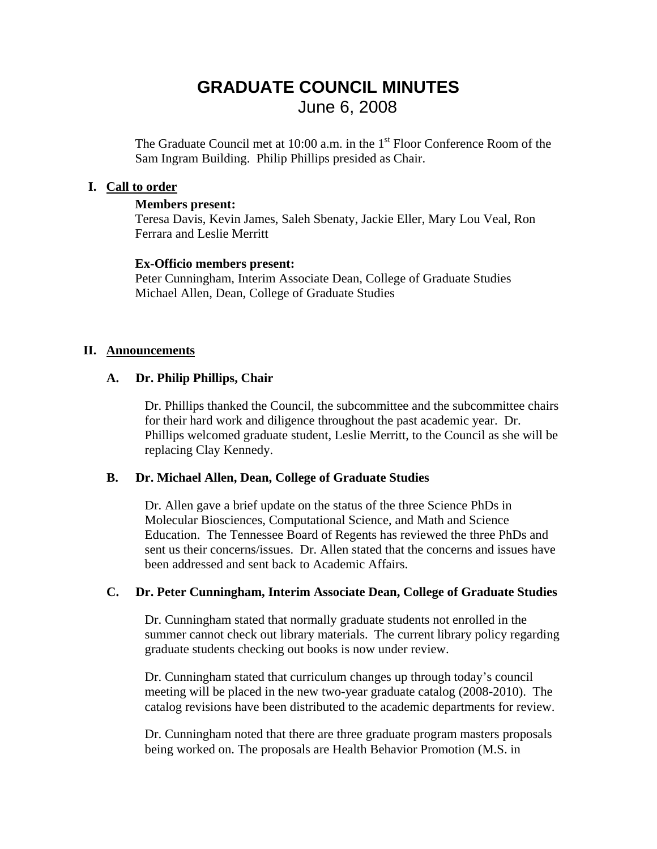### **GRADUATE COUNCIL MINUTES**  June 6, 2008

The Graduate Council met at  $10:00$  a.m. in the  $1<sup>st</sup>$  Floor Conference Room of the Sam Ingram Building. Philip Phillips presided as Chair.

#### **I. Call to order**

#### **Members present:**

Teresa Davis, Kevin James, Saleh Sbenaty, Jackie Eller, Mary Lou Veal, Ron Ferrara and Leslie Merritt

### **Ex-Officio members present:**

Peter Cunningham, Interim Associate Dean, College of Graduate Studies Michael Allen, Dean, College of Graduate Studies

### **II. Announcements**

### **A. Dr. Philip Phillips, Chair**

Dr. Phillips thanked the Council, the subcommittee and the subcommittee chairs for their hard work and diligence throughout the past academic year. Dr. Phillips welcomed graduate student, Leslie Merritt, to the Council as she will be replacing Clay Kennedy.

#### **B. Dr. Michael Allen, Dean, College of Graduate Studies**

Dr. Allen gave a brief update on the status of the three Science PhDs in Molecular Biosciences, Computational Science, and Math and Science Education. The Tennessee Board of Regents has reviewed the three PhDs and sent us their concerns/issues. Dr. Allen stated that the concerns and issues have been addressed and sent back to Academic Affairs.

### **C. Dr. Peter Cunningham, Interim Associate Dean, College of Graduate Studies**

Dr. Cunningham stated that normally graduate students not enrolled in the summer cannot check out library materials. The current library policy regarding graduate students checking out books is now under review.

Dr. Cunningham stated that curriculum changes up through today's council meeting will be placed in the new two-year graduate catalog (2008-2010). The catalog revisions have been distributed to the academic departments for review.

Dr. Cunningham noted that there are three graduate program masters proposals being worked on. The proposals are Health Behavior Promotion (M.S. in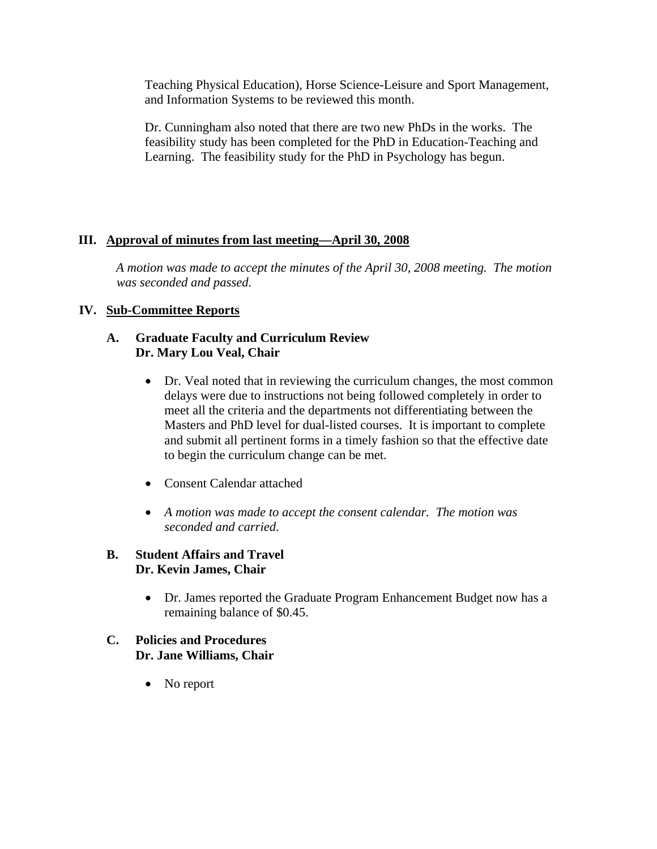Teaching Physical Education), Horse Science-Leisure and Sport Management, and Information Systems to be reviewed this month.

Dr. Cunningham also noted that there are two new PhDs in the works. The feasibility study has been completed for the PhD in Education-Teaching and Learning. The feasibility study for the PhD in Psychology has begun.

### **III. Approval of minutes from last meeting—April 30, 2008**

 *A motion was made to accept the minutes of the April 30, 2008 meeting. The motion was seconded and passed.* 

### **IV. Sub-Committee Reports**

### **A. Graduate Faculty and Curriculum Review Dr. Mary Lou Veal, Chair**

- Dr. Veal noted that in reviewing the curriculum changes, the most common delays were due to instructions not being followed completely in order to meet all the criteria and the departments not differentiating between the Masters and PhD level for dual-listed courses. It is important to complete and submit all pertinent forms in a timely fashion so that the effective date to begin the curriculum change can be met.
- Consent Calendar attached
- *A motion was made to accept the consent calendar. The motion was seconded and carried.*

### **B. Student Affairs and Travel Dr. Kevin James, Chair**

• Dr. James reported the Graduate Program Enhancement Budget now has a remaining balance of \$0.45.

### **C. Policies and Procedures Dr. Jane Williams, Chair**

• No report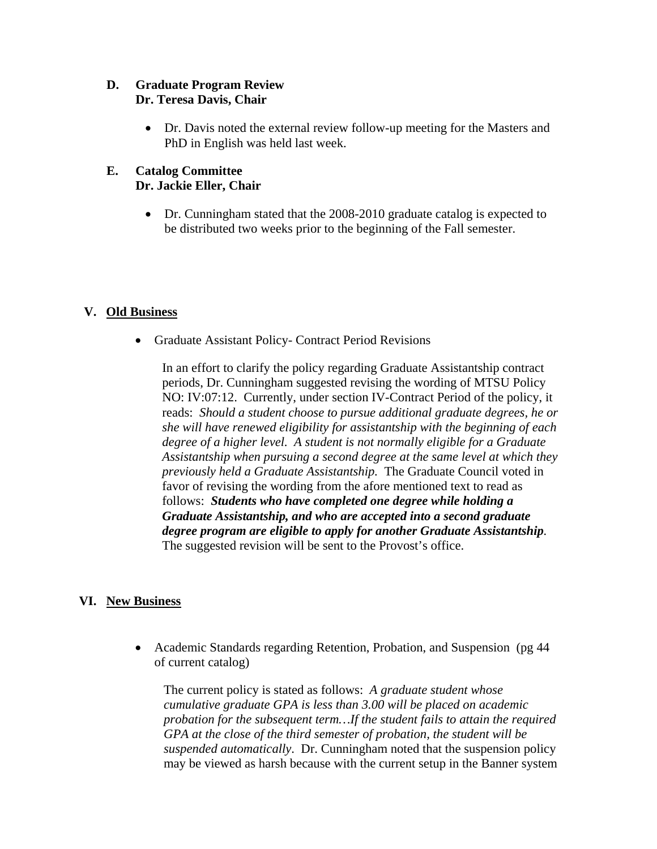### **D. Graduate Program Review Dr. Teresa Davis, Chair**

• Dr. Davis noted the external review follow-up meeting for the Masters and PhD in English was held last week.

### **E. Catalog Committee Dr. Jackie Eller, Chair**

• Dr. Cunningham stated that the 2008-2010 graduate catalog is expected to be distributed two weeks prior to the beginning of the Fall semester.

### **V. Old Business**

• Graduate Assistant Policy- Contract Period Revisions

In an effort to clarify the policy regarding Graduate Assistantship contract periods, Dr. Cunningham suggested revising the wording of MTSU Policy NO: IV:07:12. Currently, under section IV-Contract Period of the policy, it reads: *Should a student choose to pursue additional graduate degrees, he or she will have renewed eligibility for assistantship with the beginning of each degree of a higher level. A student is not normally eligible for a Graduate Assistantship when pursuing a second degree at the same level at which they previously held a Graduate Assistantship.* The Graduate Council voted in favor of revising the wording from the afore mentioned text to read as follows: *Students who have completed one degree while holding a Graduate Assistantship, and who are accepted into a second graduate degree program are eligible to apply for another Graduate Assistantship.*  The suggested revision will be sent to the Provost's office.

### **VI. New Business**

• Academic Standards regarding Retention, Probation, and Suspension (pg 44) of current catalog)

The current policy is stated as follows: *A graduate student whose cumulative graduate GPA is less than 3.00 will be placed on academic probation for the subsequent term…If the student fails to attain the required GPA at the close of the third semester of probation, the student will be suspended automatically*. Dr. Cunningham noted that the suspension policy may be viewed as harsh because with the current setup in the Banner system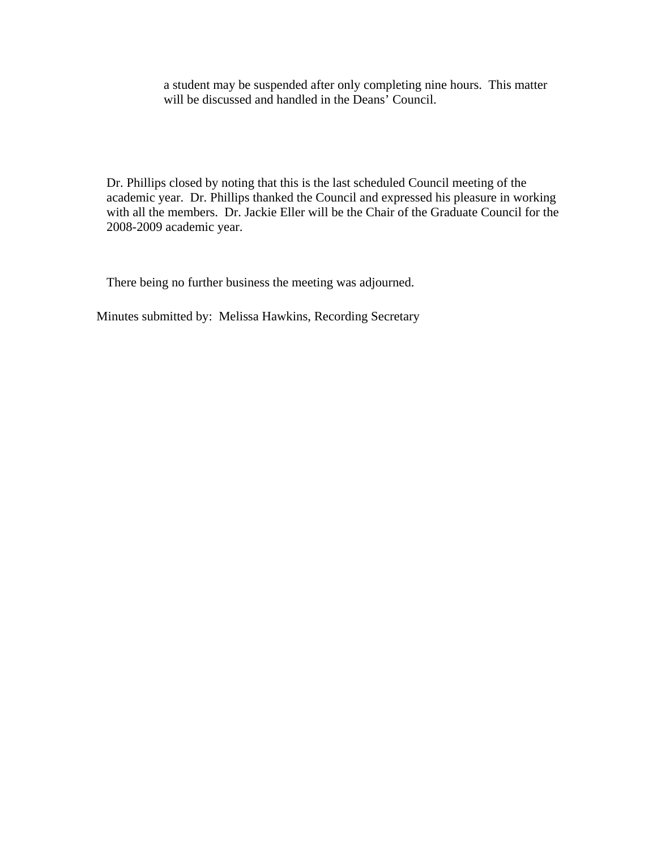a student may be suspended after only completing nine hours. This matter will be discussed and handled in the Deans' Council.

Dr. Phillips closed by noting that this is the last scheduled Council meeting of the academic year. Dr. Phillips thanked the Council and expressed his pleasure in working with all the members. Dr. Jackie Eller will be the Chair of the Graduate Council for the 2008-2009 academic year.

There being no further business the meeting was adjourned.

Minutes submitted by: Melissa Hawkins, Recording Secretary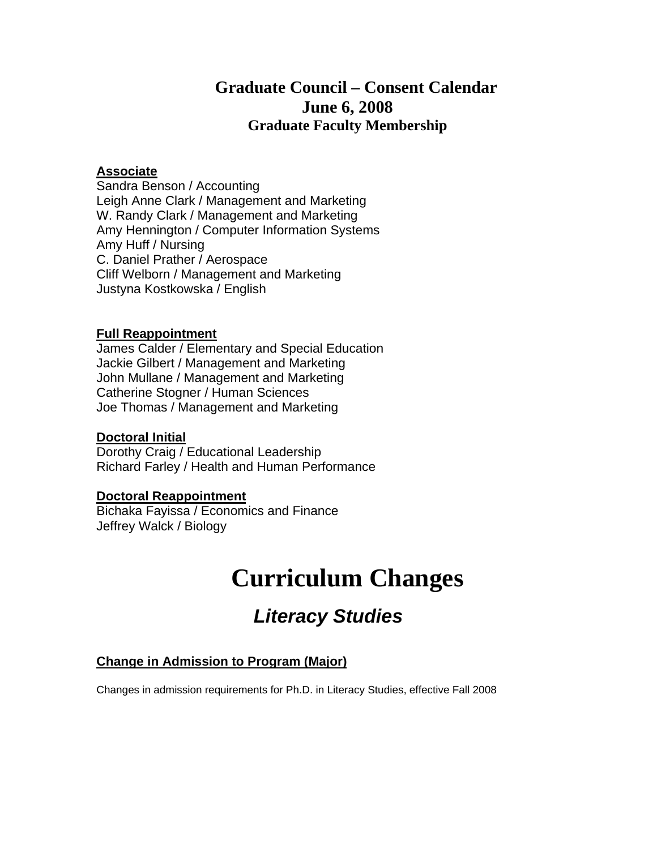### **Graduate Council – Consent Calendar June 6, 2008 Graduate Faculty Membership**

### **Associate**

Sandra Benson / Accounting Leigh Anne Clark / Management and Marketing W. Randy Clark / Management and Marketing Amy Hennington / Computer Information Systems Amy Huff / Nursing C. Daniel Prather / Aerospace Cliff Welborn / Management and Marketing Justyna Kostkowska / English

### **Full Reappointment**

James Calder / Elementary and Special Education Jackie Gilbert / Management and Marketing John Mullane / Management and Marketing Catherine Stogner / Human Sciences Joe Thomas / Management and Marketing

### **Doctoral Initial**

Dorothy Craig / Educational Leadership Richard Farley / Health and Human Performance

### **Doctoral Reappointment**

Bichaka Fayissa / Economics and Finance Jeffrey Walck / Biology

# **Curriculum Changes**

# *Literacy Studies*

### **Change in Admission to Program (Major)**

Changes in admission requirements for Ph.D. in Literacy Studies, effective Fall 2008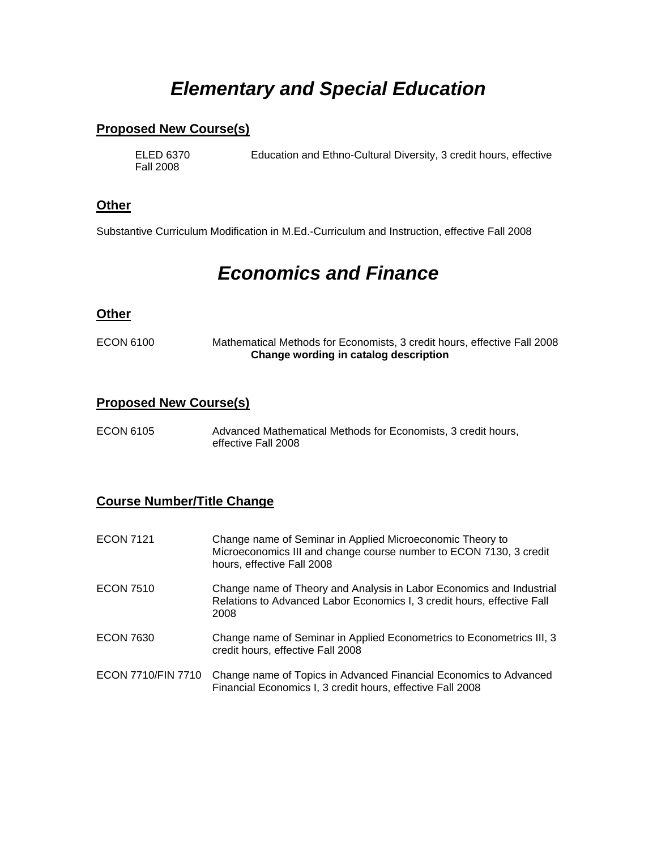### *Elementary and Special Education*

### **Proposed New Course(s)**

Fall 2008

ELED 6370 Education and Ethno-Cultural Diversity, 3 credit hours, effective

#### **Other**

Substantive Curriculum Modification in M.Ed.-Curriculum and Instruction, effective Fall 2008

### *Economics and Finance*

### **Other**

ECON 6100 Mathematical Methods for Economists, 3 credit hours, effective Fall 2008 **Change wording in catalog description** 

### **Proposed New Course(s)**

ECON 6105 Advanced Mathematical Methods for Economists, 3 credit hours, effective Fall 2008

### **Course Number/Title Change**

| <b>ECON 7121</b>   | Change name of Seminar in Applied Microeconomic Theory to<br>Microeconomics III and change course number to ECON 7130, 3 credit<br>hours, effective Fall 2008 |
|--------------------|---------------------------------------------------------------------------------------------------------------------------------------------------------------|
| <b>ECON 7510</b>   | Change name of Theory and Analysis in Labor Economics and Industrial<br>Relations to Advanced Labor Economics I, 3 credit hours, effective Fall<br>2008       |
| <b>ECON 7630</b>   | Change name of Seminar in Applied Econometrics to Econometrics III, 3<br>credit hours, effective Fall 2008                                                    |
| ECON 7710/FIN 7710 | Change name of Topics in Advanced Financial Economics to Advanced<br>Financial Economics I, 3 credit hours, effective Fall 2008                               |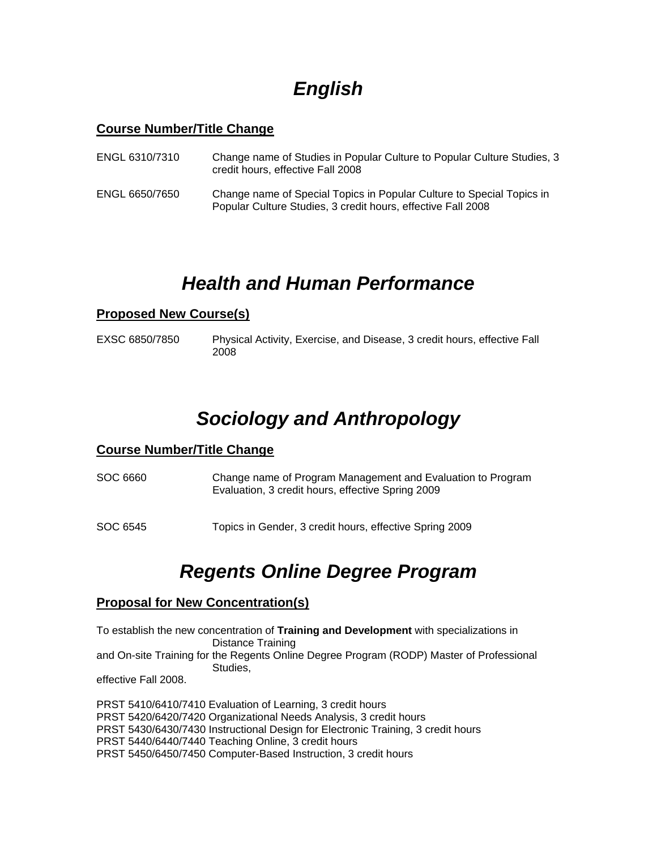## *English*

### **Course Number/Title Change**

| ENGL 6310/7310 | Change name of Studies in Popular Culture to Popular Culture Studies, 3<br>credit hours, effective Fall 2008                          |
|----------------|---------------------------------------------------------------------------------------------------------------------------------------|
| ENGL 6650/7650 | Change name of Special Topics in Popular Culture to Special Topics in<br>Popular Culture Studies, 3 credit hours, effective Fall 2008 |

### *Health and Human Performance*

### **Proposed New Course(s)**

EXSC 6850/7850 Physical Activity, Exercise, and Disease, 3 credit hours, effective Fall 2008

# *Sociology and Anthropology*

### **Course Number/Title Change**

- SOC 6660 Change name of Program Management and Evaluation to Program Evaluation, 3 credit hours, effective Spring 2009
- SOC 6545 Topics in Gender, 3 credit hours, effective Spring 2009

### *Regents Online Degree Program*

### **Proposal for New Concentration(s)**

To establish the new concentration of **Training and Development** with specializations in Distance Training and On-site Training for the Regents Online Degree Program (RODP) Master of Professional Studies, effective Fall 2008.

PRST 5410/6410/7410 Evaluation of Learning, 3 credit hours PRST 5420/6420/7420 Organizational Needs Analysis, 3 credit hours PRST 5430/6430/7430 Instructional Design for Electronic Training, 3 credit hours PRST 5440/6440/7440 Teaching Online, 3 credit hours PRST 5450/6450/7450 Computer-Based Instruction, 3 credit hours